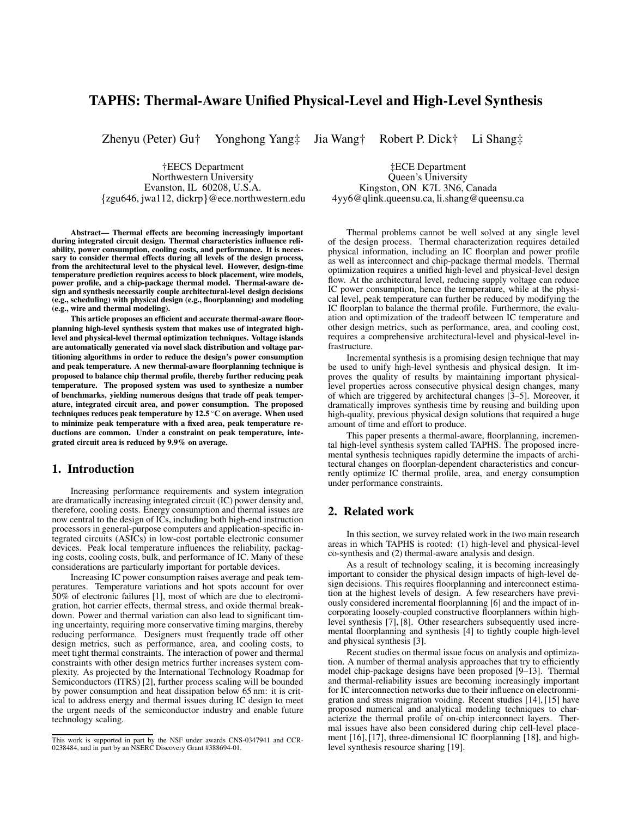# **TAPHS: Thermal-Aware Unified Physical-Level and High-Level Synthesis**

†EECS Department Northwestern University Evanston, IL 60208, U.S.A. {zgu646, jwa112, dickrp}@ece.northwestern.edu

**Abstract— Thermal effects are becoming increasingly important during integrated circuit design. Thermal characteristics influence reliability, power consumption, cooling costs, and performance. It is necessary to consider thermal effects during all levels of the design process, from the architectural level to the physical level. However, design-time temperature prediction requires access to block placement, wire models, power profile, and a chip-package thermal model. Thermal-aware design and synthesis necessarily couple architectural-level design decisions (e.g., scheduling) with physical design (e.g., floorplanning) and modeling (e.g., wire and thermal modeling).**

**This article proposes an efficient and accurate thermal-aware floorplanning high-level synthesis system that makes use of integrated highlevel and physical-level thermal optimization techniques. Voltage islands are automatically generated via novel slack distribution and voltage partitioning algorithms in order to reduce the design's power consumption and peak temperature. A new thermal-aware floorplanning technique is proposed to balance chip thermal profile, thereby further reducing peak temperature. The proposed system was used to synthesize a number of benchmarks, yielding numerous designs that trade off peak temperature, integrated circuit area, and power consumption. The proposed techniques reduces peak temperature by 12.5 C on average. When used to minimize peak temperature with a fixed area, peak temperature reductions are common. Under a constraint on peak temperature, integrated circuit area is reduced by 9.9% on average.**

# **1. Introduction**

Increasing performance requirements and system integration are dramatically increasing integrated circuit (IC) power density and, therefore, cooling costs. Energy consumption and thermal issues are now central to the design of ICs, including both high-end instruction processors in general-purpose computers and application-specific integrated circuits (ASICs) in low-cost portable electronic consumer devices. Peak local temperature influences the reliability, packaging costs, cooling costs, bulk, and performance of IC. Many of these considerations are particularly important for portable devices.

Increasing IC power consumption raises average and peak temperatures. Temperature variations and hot spots account for over 50% of electronic failures [1], most of which are due to electromigration, hot carrier effects, thermal stress, and oxide thermal breakdown. Power and thermal variation can also lead to significant timing uncertainty, requiring more conservative timing margins, thereby reducing performance. Designers must frequently trade off other design metrics, such as performance, area, and cooling costs, to meet tight thermal constraints. The interaction of power and thermal constraints with other design metrics further increases system complexity. As projected by the International Technology Roadmap for Semiconductors (ITRS) [2], further process scaling will be bounded by power consumption and heat dissipation below 65 nm: it is critical to address energy and thermal issues during IC design to meet the urgent needs of the semiconductor industry and enable future technology scaling.

Zhenyu (Peter) Gu† Yonghong Yang‡ Jia Wang† Robert P. Dick† Li Shang‡

‡ECE Department Queen's University Kingston, ON K7L 3N6, Canada 4yy6@qlink.queensu.ca, li.shang@queensu.ca

Thermal problems cannot be well solved at any single level of the design process. Thermal characterization requires detailed physical information, including an IC floorplan and power profile as well as interconnect and chip-package thermal models. Thermal optimization requires a unified high-level and physical-level design flow. At the architectural level, reducing supply voltage can reduce IC power consumption, hence the temperature, while at the physical level, peak temperature can further be reduced by modifying the IC floorplan to balance the thermal profile. Furthermore, the evaluation and optimization of the tradeoff between IC temperature and other design metrics, such as performance, area, and cooling cost, requires a comprehensive architectural-level and physical-level infrastructure.

Incremental synthesis is a promising design technique that may be used to unify high-level synthesis and physical design. It improves the quality of results by maintaining important physicallevel properties across consecutive physical design changes, many of which are triggered by architectural changes [3–5]. Moreover, it dramatically improves synthesis time by reusing and building upon high-quality, previous physical design solutions that required a huge amount of time and effort to produce.

This paper presents a thermal-aware, floorplanning, incremental high-level synthesis system called TAPHS. The proposed incremental synthesis techniques rapidly determine the impacts of architectural changes on floorplan-dependent characteristics and concurrently optimize IC thermal profile, area, and energy consumption under performance constraints.

# **2. Related work**

In this section, we survey related work in the two main research areas in which TAPHS is rooted: (1) high-level and physical-level co-synthesis and (2) thermal-aware analysis and design.

As a result of technology scaling, it is becoming increasingly important to consider the physical design impacts of high-level design decisions. This requires floorplanning and interconnect estimation at the highest levels of design. A few researchers have previously considered incremental floorplanning [6] and the impact of incorporating loosely-coupled constructive floorplanners within highlevel synthesis [7], [8]. Other researchers subsequently used incremental floorplanning and synthesis [4] to tightly couple high-level and physical synthesis [3].

Recent studies on thermal issue focus on analysis and optimization. A number of thermal analysis approaches that try to efficiently model chip-package designs have been proposed [9–13]. Thermal and thermal-reliability issues are becoming increasingly important for IC interconnection networks due to their influence on electronmigration and stress migration voiding. Recent studies [14],[15] have proposed numerical and analytical modeling techniques to characterize the thermal profile of on-chip interconnect layers. Thermal issues have also been considered during chip cell-level placement [16], [17], three-dimensional IC floorplanning [18], and highlevel synthesis resource sharing [19].

This work is supported in part by the NSF under awards CNS-0347941 and CCR-0238484, and in part by an NSERC Discovery Grant #388694-01.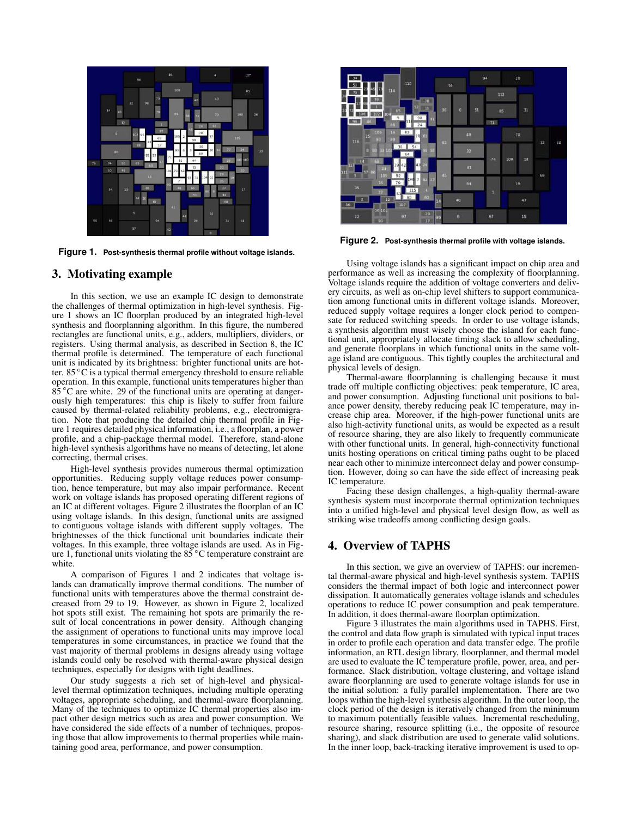

**Figure 1. Post-synthesis thermal profile without voltage islands.**

# **3. Motivating example**

In this section, we use an example IC design to demonstrate the challenges of thermal optimization in high-level synthesis. Figure 1 shows an IC floorplan produced by an integrated high-level synthesis and floorplanning algorithm. In this figure, the numbered rectangles are functional units, e.g., adders, multipliers, dividers, or registers. Using thermal analysis, as described in Section 8, the IC thermal profile is determined. The temperature of each functional unit is indicated by its brightness: brighter functional units are hotter. 85 C is a typical thermal emergency threshold to ensure reliable operation. In this example, functional units temperatures higher than 85 C are white. 29 of the functional units are operating at dangerously high temperatures: this chip is likely to suffer from failure caused by thermal-related reliability problems, e.g., electromigration. Note that producing the detailed chip thermal profile in Figure 1 requires detailed physical information, i.e., a floorplan, a power profile, and a chip-package thermal model. Therefore, stand-alone high-level synthesis algorithms have no means of detecting, let alone correcting, thermal crises.

High-level synthesis provides numerous thermal optimization opportunities. Reducing supply voltage reduces power consumption, hence temperature, but may also impair performance. Recent work on voltage islands has proposed operating different regions of an IC at different voltages. Figure 2 illustrates the floorplan of an IC using voltage islands. In this design, functional units are assigned to contiguous voltage islands with different supply voltages. The brightnesses of the thick functional unit boundaries indicate their voltages. In this example, three voltage islands are used. As in Figure 1, functional units violating the 85 C temperature constraint are white.

A comparison of Figures 1 and 2 indicates that voltage islands can dramatically improve thermal conditions. The number of functional units with temperatures above the thermal constraint decreased from 29 to 19. However, as shown in Figure 2, localized hot spots still exist. The remaining hot spots are primarily the result of local concentrations in power density. Although changing the assignment of operations to functional units may improve local temperatures in some circumstances, in practice we found that the vast majority of thermal problems in designs already using voltage islands could only be resolved with thermal-aware physical design techniques, especially for designs with tight deadlines.

Our study suggests a rich set of high-level and physicallevel thermal optimization techniques, including multiple operating voltages, appropriate scheduling, and thermal-aware floorplanning. Many of the techniques to optimize IC thermal properties also impact other design metrics such as area and power consumption. We have considered the side effects of a number of techniques, proposing those that allow improvements to thermal properties while maintaining good area, performance, and power consumption.



**Figure 2. Post-synthesis thermal profile with voltage islands.**

Using voltage islands has a significant impact on chip area and performance as well as increasing the complexity of floorplanning. Voltage islands require the addition of voltage converters and delivery circuits, as well as on-chip level shifters to support communication among functional units in different voltage islands. Moreover, reduced supply voltage requires a longer clock period to compensate for reduced switching speeds. In order to use voltage islands, a synthesis algorithm must wisely choose the island for each functional unit, appropriately allocate timing slack to allow scheduling, and generate floorplans in which functional units in the same voltage island are contiguous. This tightly couples the architectural and physical levels of design.

Thermal-aware floorplanning is challenging because it must trade off multiple conflicting objectives: peak temperature, IC area, and power consumption. Adjusting functional unit positions to balance power density, thereby reducing peak IC temperature, may increase chip area. Moreover, if the high-power functional units are also high-activity functional units, as would be expected as a result of resource sharing, they are also likely to frequently communicate with other functional units. In general, high-connectivity functional units hosting operations on critical timing paths ought to be placed near each other to minimize interconnect delay and power consumption. However, doing so can have the side effect of increasing peak IC temperature.

Facing these design challenges, a high-quality thermal-aware synthesis system must incorporate thermal optimization techniques into a unified high-level and physical level design flow, as well as striking wise tradeoffs among conflicting design goals.

# **4. Overview of TAPHS**

In this section, we give an overview of TAPHS: our incremental thermal-aware physical and high-level synthesis system. TAPHS considers the thermal impact of both logic and interconnect power dissipation. It automatically generates voltage islands and schedules operations to reduce IC power consumption and peak temperature. In addition, it does thermal-aware floorplan optimization.

Figure 3 illustrates the main algorithms used in TAPHS. First, the control and data flow graph is simulated with typical input traces in order to profile each operation and data transfer edge. The profile information, an RTL design library, floorplanner, and thermal model are used to evaluate the IC temperature profile, power, area, and performance. Slack distribution, voltage clustering, and voltage island aware floorplanning are used to generate voltage islands for use in the initial solution: a fully parallel implementation. There are two loops within the high-level synthesis algorithm. In the outer loop, the clock period of the design is iteratively changed from the minimum to maximum potentially feasible values. Incremental rescheduling, resource sharing, resource splitting (i.e., the opposite of resource sharing), and slack distribution are used to generate valid solutions. In the inner loop, back-tracking iterative improvement is used to op-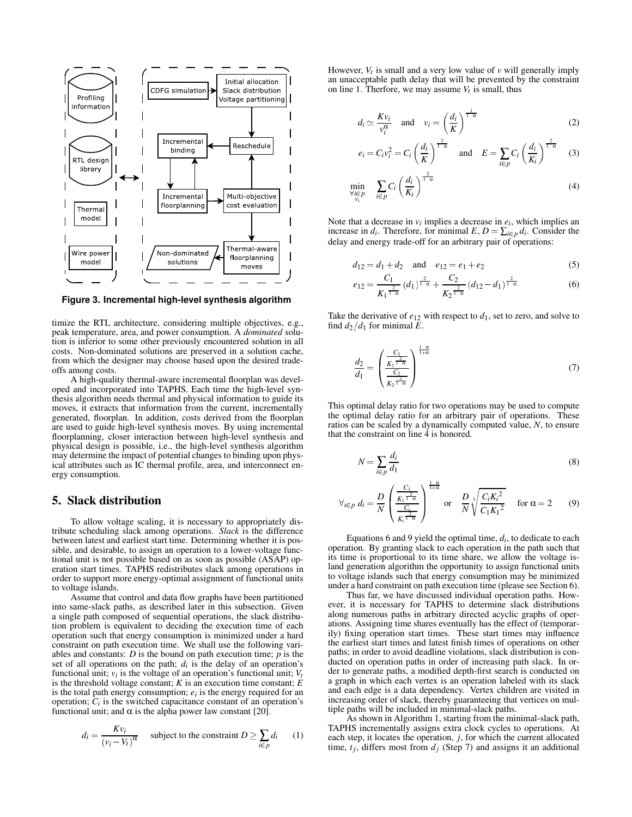

**Figure 3. Incremental high-level synthesis algorithm**

timize the RTL architecture, considering multiple objectives, e.g., peak temperature, area, and power consumption. A *dominated* solution is inferior to some other previously encountered solution in all costs. Non-dominated solutions are preserved in a solution cache, from which the designer may choose based upon the desired tradeoffs among costs.

A high-quality thermal-aware incremental floorplan was developed and incorporated into TAPHS. Each time the high-level synthesis algorithm needs thermal and physical information to guide its moves, it extracts that information from the current, incrementally generated, floorplan. In addition, costs derived from the floorplan are used to guide high-level synthesis moves. By using incremental floorplanning, closer interaction between high-level synthesis and physical design is possible, i.e., the high-level synthesis algorithm may determine the impact of potential changes to binding upon physical attributes such as IC thermal profile, area, and interconnect energy consumption.

# **5. Slack distribution**

To allow voltage scaling, it is necessary to appropriately distribute scheduling slack among operations. *Slack* is the difference between latest and earliest start time. Determining whether it is possible, and desirable, to assign an operation to a lower-voltage functional unit is not possible based on as soon as possible (ASAP) operation start times. TAPHS redistributes slack among operations in order to support more energy-optimal assignment of functional units to voltage islands.

Assume that control and data flow graphs have been partitioned into same-slack paths, as described later in this subsection. Given a single path composed of sequential operations, the slack distribution problem is equivalent to deciding the execution time of each operation such that energy consumption is minimized under a hard constraint on path execution time. We shall use the following variables and constants: *D* is the bound on path execution time; *p* is the set of all operations on the path;  $d_i$  is the delay of an operation's functional unit;  $v_i$  is the voltage of an operation's functional unit;  $V_t$ is the threshold voltage constant; *K* is an execution time constant; *E* is the total path energy consumption;  $e_i$  is the energy required for an operation;  $C_i$  is the switched capacitance constant of an operation's functional unit; and  $\alpha$  is the alpha power law constant [20].

$$
d_i = \frac{Kv_i}{(v_i - V_t)^{\alpha}}
$$
 subject to the constraint  $D \ge \sum_{i \in p} d_i$  (1)

However,  $V_t$  is small and a very low value of  $v$  will generally imply an unacceptable path delay that will be prevented by the constraint on line 1. Therfore, we may assume  $V_t$  is small, thus

$$
d_i \simeq \frac{K v_i}{v_i^{\alpha}} \quad \text{and} \quad v_i = \left(\frac{d_i}{K}\right)^{\frac{1}{1-\alpha}} \tag{2}
$$

$$
e_i = C_i v_i^2 = C_i \left(\frac{d_i}{K}\right)^{\frac{2}{1-\alpha}} \quad \text{and} \quad E = \sum_{i \in p} C_i \left(\frac{d_i}{K_i}\right)^{\frac{2}{1-\alpha}} \tag{3}
$$

$$
\min_{\substack{\forall i \in p \\ v_i}} \sum_{i \in p} C_i \left(\frac{d_i}{K_i}\right)^{\frac{2}{1-\alpha}} \tag{4}
$$

Note that a decrease in  $v_i$  implies a decrease in  $e_i$ , which implies an increase in  $d_i$ . Therefore, for minimal  $E$ ,  $D = \sum_{i \in p} d_i$ . Consider the delay and energy trade-off for an arbitrary pair of operations:

$$
d_{12} = d_1 + d_2 \quad \text{and} \quad e_{12} = e_1 + e_2 \tag{5}
$$

$$
e_{12} = \frac{C_1}{K_1^{\frac{2}{1-\alpha}}} (d_1)^{\frac{2}{1-\alpha}} + \frac{C_2}{K_2^{\frac{2}{1-\alpha}}} (d_{12} - d_1)^{\frac{2}{1-\alpha}}
$$
(6)

Take the derivative of  $e_{12}$  with respect to  $d_1$ , set to zero, and solve to find  $d_2/d_1$  for minimal *E*.

$$
\frac{d_2}{d_1} = \left(\frac{\frac{C_1}{K_1^{\frac{2}{1-\alpha}}}}{\frac{C_2}{K_2^{\frac{2}{1-\alpha}}}}\right)^{\frac{1-\alpha}{1+\alpha}}
$$
(7)

This optimal delay ratio for two operations may be used to compute the optimal delay ratio for an arbitrary pair of operations. These ratios can be scaled by a dynamically computed value, *N*, to ensure that the constraint on line 4 is honored.

$$
N = \sum_{i \in p} \frac{d_i}{d_1} \tag{8}
$$

$$
\forall_{i \in p} d_i = \frac{D}{N} \left( \frac{\frac{C_1}{K_1^{\frac{2}{1-\alpha}}}}{\frac{C_i}{K_i^{\frac{2}{1-\alpha}}}} \right)^{\frac{1-\alpha}{1+\alpha}} \text{ or } \frac{D}{N} \sqrt[3]{\frac{C_i K_i^2}{C_1 K_1^2}} \quad \text{ for } \alpha = 2 \qquad (9)
$$

Equations 6 and 9 yield the optimal time,  $d_i$ , to dedicate to each operation. By granting slack to each operation in the path such that its time is proportional to its time share, we allow the voltage island generation algorithm the opportunity to assign functional units to voltage islands such that energy consumption may be minimized under a hard constraint on path execution time (please see Section 6).

Thus far, we have discussed individual operation paths. However, it is necessary for TAPHS to determine slack distributions along numerous paths in arbitrary directed acyclic graphs of operations. Assigning time shares eventually has the effect of (temporarily) fixing operation start times. These start times may influence the earliest start times and latest finish times of operations on other paths; in order to avoid deadline violations, slack distribution is conducted on operation paths in order of increasing path slack. In order to generate paths, a modified depth-first search is conducted on a graph in which each vertex is an operation labeled with its slack and each edge is a data dependency. Vertex children are visited in increasing order of slack, thereby guaranteeing that vertices on multiple paths will be included in minimal-slack paths.

As shown in Algorithm 1, starting from the minimal-slack path, TAPHS incrementally assigns extra clock cycles to operations. At each step, it locates the operation, *j*, for which the current allocated time,  $t_j$ , differs most from  $d_j$  (Step 7) and assigns it an additional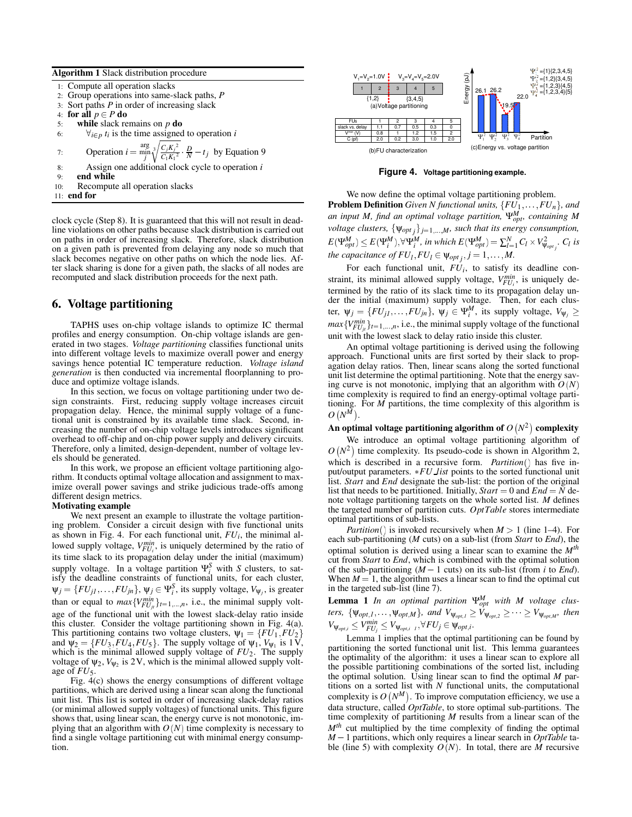| <b>Algorithm 1</b> Slack distribution procedure                                                            |
|------------------------------------------------------------------------------------------------------------|
| 1: Compute all operation slacks                                                                            |
| 2: Group operations into same-slack paths, $P$                                                             |
| 3: Sort paths $P$ in order of increasing slack                                                             |
| 4: for all $p \in P$ do                                                                                    |
| while slack remains on $p$ do<br>5:                                                                        |
| $\forall_{i \in p} t_i$ is the time assigned to operation i<br>6:                                          |
| Operation $i = \min_{j} \sqrt[3]{\frac{C_j K_j^2}{C_1 K_1^2}} \cdot \frac{D}{N} - t_j$ by Equation 9<br>7: |
| Assign one additional clock cycle to operation $i$<br>8:                                                   |
| end while<br>9:                                                                                            |
| Recompute all operation slacks<br>10:                                                                      |
| $11:$ end for                                                                                              |
|                                                                                                            |

clock cycle (Step 8). It is guaranteed that this will not result in deadline violations on other paths because slack distribution is carried out on paths in order of increasing slack. Therefore, slack distribution on a given path is prevented from delaying any node so much that slack becomes negative on other paths on which the node lies. After slack sharing is done for a given path, the slacks of all nodes are recomputed and slack distribution proceeds for the next path.

# **6. Voltage partitioning**

TAPHS uses on-chip voltage islands to optimize IC thermal profiles and energy consumption. On-chip voltage islands are generated in two stages. *Voltage partitioning* classifies functional units into different voltage levels to maximize overall power and energy savings hence potential IC temperature reduction. *Voltage island generation* is then conducted via incremental floorplanning to produce and optimize voltage islands.

In this section, we focus on voltage partitioning under two design constraints. First, reducing supply voltage increases circuit propagation delay. Hence, the minimal supply voltage of a functional unit is constrained by its available time slack. Second, increasing the number of on-chip voltage levels introduces significant overhead to off-chip and on-chip power supply and delivery circuits. Therefore, only a limited, design-dependent, number of voltage levels should be generated.

In this work, we propose an efficient voltage partitioning algorithm. It conducts optimal voltage allocation and assignment to maximize overall power savings and strike judicious trade-offs among different design metrics.

#### **Motivating example**

We next present an example to illustrate the voltage partitioning problem. Consider a circuit design with five functional units as shown in Fig. 4. For each functional unit, *FUi* , the minimal allowed supply voltage,  $V_{FU_i}^{min}$ , is uniquely determined by the ratio of its time slack to its propagation delay under the initial (maximum) supply voltage. In a voltage partition  $\Psi_i^S$  with *S* clusters, to satisfy the deadline constraints of functional units, for each cluster,  $\Psi_j = \{FU_{j1}, \ldots, FU_{jn}\}, \Psi_j \in \Psi_i^S$ , its supply voltage,  $V_{\Psi_j}$ , is greater than or equal to  $max\{V_{FU_{jt}}^{min}\}_{t=1,\ldots,n}$ , i.e., the minimal supply voltage of the functional unit with the lowest slack-delay ratio inside this cluster. Consider the voltage partitioning shown in Fig. 4(a). This partitioning contains two voltage clusters,  $\Psi_1 = \{FU_1, FU_2\}$ and  $\Psi_2 = \{FU_3, FU_4, FU_5\}$ . The supply voltage of  $\Psi_1$ ,  $V_{\Psi_1}$  is 1V, which is the minimal allowed supply voltage of  $FU_2$ . The supply voltage of  $\psi_2$ ,  $V_{\psi_2}$  is 2V, which is the minimal allowed supply voltage of  $FU_5$ .

Fig. 4(c) shows the energy consumptions of different voltage partitions, which are derived using a linear scan along the functional unit list. This list is sorted in order of increasing slack-delay ratios (or minimal allowed supply voltages) of functional units. This figure shows that, using linear scan, the energy curve is not monotonic, implying that an algorithm with  $O(N)$  time complexity is necessary to find a single voltage partitioning cut with minimal energy consumption.



**Figure 4. Voltage partitioning example.**

We now define the optimal voltage partitioning problem. **Problem Definition** *Given N functional units,*  $\{FU_1, \ldots, FU_n\}$ *, and an input M, find an optimal voltage partition,* Ψ*<sup>M</sup> opt, containing M voltage clusters,* <sup>f</sup>ψ*opt <sup>j</sup>* g *<sup>j</sup>*=1;:::;*M, such that its energy consumption,*  $E(\Psi_{opt}^M) \leq E(\Psi_i^M), \forall \Psi_i^M$ , in which  $E(\Psi_{opt}^M) = \sum_{l=1}^N C_l \times V_{\Psi_{optj}}^2$ .  $C_l$  is *the capacitance of*  $FU_l, FU_l \in \psi_{opt}$  $j = 1, ..., M$ *.* 

For each functional unit,  $FU_i$ , to satisfy its deadline constraint, its minimal allowed supply voltage,  $V_{FU_i}^{min}$ , is uniquely determined by the ratio of its slack time to its propagation delay under the initial (maximum) supply voltage. Then, for each cluster,  $\Psi_j = \{FU_{j1}, \ldots, FU_{jn}\}, \Psi_j \in \Psi_i^M$ , its supply voltage,  $V_{\Psi_j} \geq$  $max\{V_{FU_{jt}}^{min}\}_{t=1,\dots,n}$ , i.e., the minimal supply voltage of the functional unit with the lowest slack to delay ratio inside this cluster.

An optimal voltage partitioning is derived using the following approach. Functional units are first sorted by their slack to propagation delay ratios. Then, linear scans along the sorted functional unit list determine the optimal partitioning. Note that the energy saving curve is not monotonic, implying that an algorithm with  $O(N)$ time complexity is required to find an energy-optimal voltage partitioning. For *M* partitions, the time complexity of this algorithm is  $O(N^M)$ .

### An optimal voltage partitioning algorithm of  $O\left(N^2\right)$  complexity

We introduce an optimal voltage partitioning algorithm of  $O(N^2)$  time complexity. Its pseudo-code is shown in Algorithm 2, which is described in a recursive form. *Partition*() has five input/output parameters. *FU list* points to the sorted functional unit list. *Start* and *End* designate the sub-list: the portion of the original list that needs to be partitioned. Initially, *Start* = 0 and  $End = N$  denote voltage partitioning targets on the whole sorted list. *M* defines the targeted number of partition cuts. *OptTable* stores intermediate optimal partitions of sub-lists.

*Partition*() is invoked recursively when  $M > 1$  (line 1–4). For each sub-partitioning (*M* cuts) on a sub-list (from *Start* to *End*), the optimal solution is derived using a linear scan to examine the *Mth* cut from *Start* to *End*, which is combined with the optimal solution of the sub-partitioning  $(M - 1 \text{ cuts})$  on its sub-list (from *i* to *End*). When  $M = 1$ , the algorithm uses a linear scan to find the optimal cut in the targeted sub-list (line 7).

**Lemma 1** *In an optimal partition*  $\Psi_{opt}^M$  *with M voltage clus*- ${\cal F}$ *ters,*  $\{ \psi_{opt,1}, \ldots, \psi_{opt,M} \}$ *, and*  $V_{\psi_{opt,1}} \geq V_{\psi_{opt,2}} \geq \cdots \geq V_{\psi_{opt,M}}$ *, then*  $V_{\Psi_{opt,i}} \leq V_{FU_j}^{min} \leq V_{\Psi_{opt,i-1}}, \forall FU_j \in \Psi_{opt,i}.$ 

Lemma 1 implies that the optimal partitioning can be found by partitioning the sorted functional unit list. This lemma guarantees the optimality of the algorithm: it uses a linear scan to explore all the possible partitioning combinations of the sorted list, including the optimal solution. Using linear scan to find the optimal *M* partitions on a sorted list with *N* functional units, the computational complexity is  $O(N^M)$ . To improve computation efficiency, we use a data structure, called *OptTable*, to store optimal sub-partitions. The time complexity of partitioning *M* results from a linear scan of the  $M<sup>th</sup>$  cut multiplied by the time complexity of finding the optimal  $M-1$  partitions, which only requires a linear search in *OptTable* table (line 5) with complexity  $O(N)$ . In total, there are *M* recursive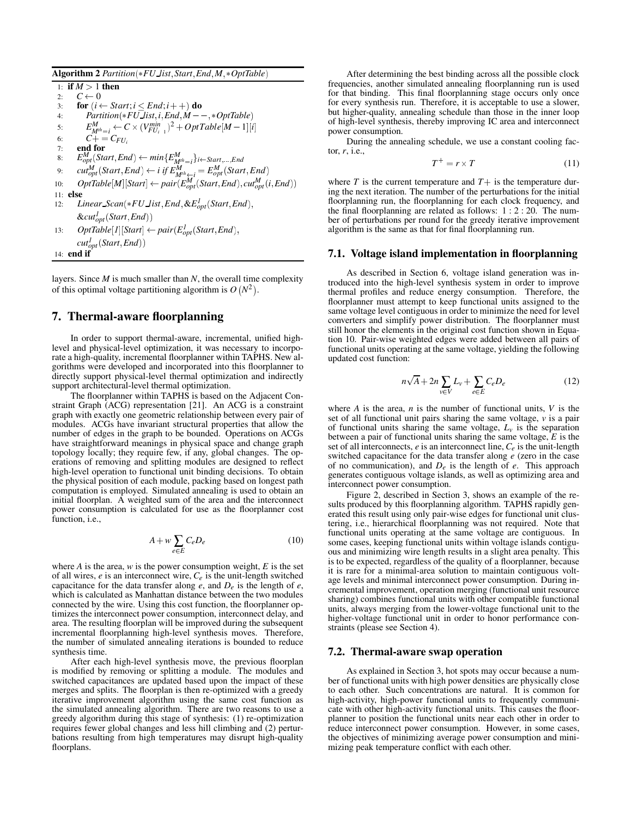**Algorithm 2** *Partition*(*FU list*; *Start*; *End*; *M*; *OptTable*) 1: **if** *M* <sup>&</sup>gt; 1 **then** 2:  $C \leftarrow 0$ 3: **for**  $(i \leftarrow Start; i \leq End; i++)$  **do** 4: *Partition*( $*FU$ *list*, *i*, *End*,  $M = -$ ,  $*OptTable$ ) 5:  $E_{M^{th}=i}^M \leftarrow C \times (V_{FU_{i-1}}^{min})^2 + OptTable[M-1][i]$ 6:  $C_{+} = C_{FU_i}$ 7: **end for** 8:  $E_{opt}^M(Start, End) \leftarrow min\{E_{M^th_{i=1}}^M\}_{i \leftarrow Start, ..., End}$ <br>9:  $cut_{opt}^M(Start, End) \leftarrow i$  if  $E_{M^{th}_{i=1}}^M = E_{opt}^M(Start, End)$ 10:  $OptTable[M][Start] \leftarrow pair(E_{opt}^M(Start, End), cut_{opt}^M(i, End))$ 11: **else** 12: *Linear\_Scan*( $*FU$ *List*, $End$ , $&E_{opt}^I(Start, End)$ , &*cut<sup>1</sup> opt* (*Start*; *End*)) 13: *OptTable*[*I*][*Start*]  $\leftarrow pair(E_{opt}^I(Start, End),$ *cut<sup>1</sup> opt* (*Start*; *End*)) 14: **end if**

layers. Since *M* is much smaller than *N*, the overall time complexity of this optimal voltage partitioning algorithm is  $O(N^2)$ .

# **7. Thermal-aware floorplanning**

In order to support thermal-aware, incremental, unified highlevel and physical-level optimization, it was necessary to incorporate a high-quality, incremental floorplanner within TAPHS. New algorithms were developed and incorporated into this floorplanner to directly support physical-level thermal optimization and indirectly support architectural-level thermal optimization.

The floorplanner within TAPHS is based on the Adjacent Constraint Graph (ACG) representation [21]. An ACG is a constraint graph with exactly one geometric relationship between every pair of modules. ACGs have invariant structural properties that allow the number of edges in the graph to be bounded. Operations on ACGs have straightforward meanings in physical space and change graph topology locally; they require few, if any, global changes. The operations of removing and splitting modules are designed to reflect high-level operation to functional unit binding decisions. To obtain the physical position of each module, packing based on longest path computation is employed. Simulated annealing is used to obtain an initial floorplan. A weighted sum of the area and the interconnect power consumption is calculated for use as the floorplanner cost function, i.e.,

$$
A + w \sum_{e \in E} C_e D_e \tag{10}
$$

where  $A$  is the area,  $w$  is the power consumption weight,  $E$  is the set of all wires, *e* is an interconnect wire, *Ce* is the unit-length switched capacitance for the data transfer along  $e$ , and  $D_e$  is the length of  $e$ , which is calculated as Manhattan distance between the two modules connected by the wire. Using this cost function, the floorplanner optimizes the interconnect power consumption, interconnect delay, and area. The resulting floorplan will be improved during the subsequent incremental floorplanning high-level synthesis moves. Therefore, the number of simulated annealing iterations is bounded to reduce synthesis time.

After each high-level synthesis move, the previous floorplan is modified by removing or splitting a module. The modules and switched capacitances are updated based upon the impact of these merges and splits. The floorplan is then re-optimized with a greedy iterative improvement algorithm using the same cost function as the simulated annealing algorithm. There are two reasons to use a greedy algorithm during this stage of synthesis: (1) re-optimization requires fewer global changes and less hill climbing and (2) perturbations resulting from high temperatures may disrupt high-quality floorplans.

After determining the best binding across all the possible clock frequencies, another simulated annealing floorplanning run is used for that binding. This final floorplanning stage occurs only once for every synthesis run. Therefore, it is acceptable to use a slower, but higher-quality, annealing schedule than those in the inner loop of high-level synthesis, thereby improving IC area and interconnect power consumption.

During the annealing schedule, we use a constant cooling factor, *r*, i.e.,

$$
T^+ = r \times T \tag{11}
$$

where  $T$  is the current temperature and  $T+$  is the temperature during the next iteration. The number of the perturbations for the initial floorplanning run, the floorplanning for each clock frequency, and the final floorplanning are related as follows: 1 : 2 : 20. The number of perturbations per round for the greedy iterative improvement algorithm is the same as that for final floorplanning run.

#### **7.1. Voltage island implementation in floorplanning**

As described in Section 6, voltage island generation was introduced into the high-level synthesis system in order to improve thermal profiles and reduce energy consumption. Therefore, the floorplanner must attempt to keep functional units assigned to the same voltage level contiguous in order to minimize the need for level converters and simplify power distribution. The floorplanner must still honor the elements in the original cost function shown in Equation 10. Pair-wise weighted edges were added between all pairs of functional units operating at the same voltage, yielding the following updated cost function:

$$
n\sqrt{A} + 2n \sum_{v \in V} L_v + \sum_{e \in E} C_e D_e \tag{12}
$$

where  $A$  is the area,  $n$  is the number of functional units,  $V$  is the set of all functional unit pairs sharing the same voltage, *v* is a pair of functional units sharing the same voltage,  $L<sub>v</sub>$  is the separation between a pair of functional units sharing the same voltage, *E* is the set of all interconnects, *e* is an interconnect line, *Ce* is the unit-length switched capacitance for the data transfer along *e* (zero in the case of no communication), and *De* is the length of *e*. This approach generates contiguous voltage islands, as well as optimizing area and interconnect power consumption.

Figure 2, described in Section 3, shows an example of the results produced by this floorplanning algorithm. TAPHS rapidly generated this result using only pair-wise edges for functional unit clustering, i.e., hierarchical floorplanning was not required. Note that functional units operating at the same voltage are contiguous. In some cases, keeping functional units within voltage islands contiguous and minimizing wire length results in a slight area penalty. This is to be expected, regardless of the quality of a floorplanner, because it is rare for a minimal-area solution to maintain contiguous voltage levels and minimal interconnect power consumption. During incremental improvement, operation merging (functional unit resource sharing) combines functional units with other compatible functional units, always merging from the lower-voltage functional unit to the higher-voltage functional unit in order to honor performance constraints (please see Section 4).

#### **7.2. Thermal-aware swap operation**

As explained in Section 3, hot spots may occur because a number of functional units with high power densities are physically close to each other. Such concentrations are natural. It is common for high-activity, high-power functional units to frequently communicate with other high-activity functional units. This causes the floorplanner to position the functional units near each other in order to reduce interconnect power consumption. However, in some cases, the objectives of minimizing average power consumption and minimizing peak temperature conflict with each other.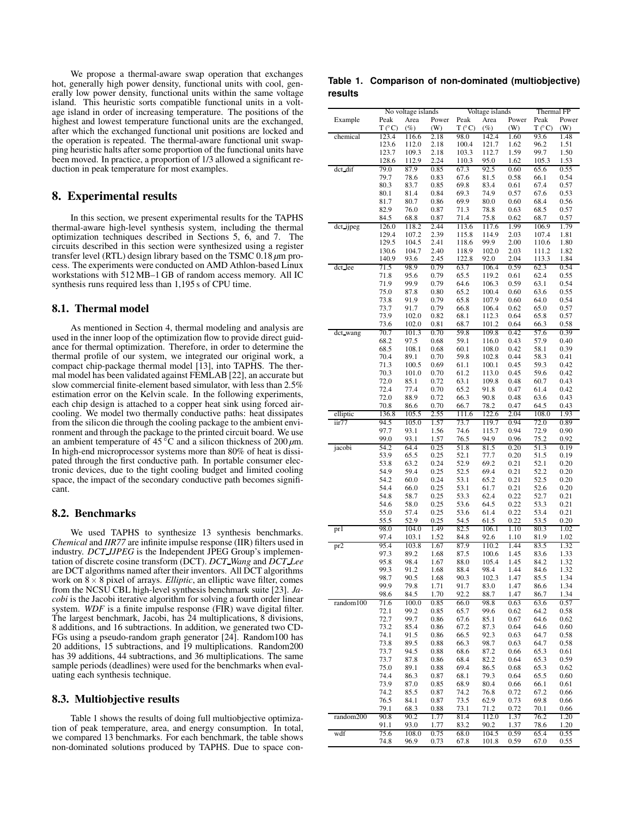We propose a thermal-aware swap operation that exchanges hot, generally high power density, functional units with cool, generally low power density, functional units within the same voltage island. This heuristic sorts compatible functional units in a voltage island in order of increasing temperature. The positions of the highest and lowest temperature functional units are the exchanged, after which the exchanged functional unit positions are locked and the operation is repeated. The thermal-aware functional unit swapping heuristic halts after some proportion of the functional units have been moved. In practice, a proportion of 1/3 allowed a significant reduction in peak temperature for most examples.

### **8. Experimental results**

In this section, we present experimental results for the TAPHS thermal-aware high-level synthesis system, including the thermal optimization techniques described in Sections 5, 6, and 7. The circuits described in this section were synthesized using a register transfer level (RTL) design library based on the TSMC 0.18 *µ*m process. The experiments were conducted on AMD Athlon-based Linux workstations with 512 MB–1 GB of random access memory. All IC synthesis runs required less than 1,195 s of CPU time.

# **8.1. Thermal model**

As mentioned in Section 4, thermal modeling and analysis are used in the inner loop of the optimization flow to provide direct guidance for thermal optimization. Therefore, in order to determine the thermal profile of our system, we integrated our original work, a compact chip-package thermal model [13], into TAPHS. The thermal model has been validated against FEMLAB [22], an accurate but slow commercial finite-element based simulator, with less than 2.5% estimation error on the Kelvin scale. In the following experiments, each chip design is attached to a copper heat sink using forced aircooling. We model two thermally conductive paths: heat dissipates from the silicon die through the cooling package to the ambient environment and through the package to the printed circuit board. We use an ambient temperature of  $45^{\circ}$ C and a silicon thickness of  $200 \,\mu$ m. In high-end microprocessor systems more than 80% of heat is dissipated through the first conductive path. In portable consumer electronic devices, due to the tight cooling budget and limited cooling space, the impact of the secondary conductive path becomes significant.

#### **8.2. Benchmarks**

We used TAPHS to synthesize 13 synthesis benchmarks. *Chemical* and *IIR77* are infinite impulse response (IIR) filters used in industry. *DCT IJPEG* is the Independent JPEG Group's implementation of discrete cosine transform (DCT). *DCT Wang* and *DCT Lee* are DCT algorithms named after their inventors. All DCT algorithms work on  $8 \times 8$  pixel of arrays. *Elliptic*, an elliptic wave filter, comes from the NCSU CBL high-level synthesis benchmark suite [23]. *Jacobi* is the Jacobi iterative algorithm for solving a fourth order linear system. *WDF* is a finite impulse response (FIR) wave digital filter. The largest benchmark, Jacobi, has 24 multiplications, 8 divisions, 8 additions, and 16 subtractions. In addition, we generated two CD-FGs using a pseudo-random graph generator [24]. Random100 has 20 additions, 15 subtractions, and 19 multiplications. Random200 has 39 additions, 44 subtractions, and 36 multiplications. The same sample periods (deadlines) were used for the benchmarks when evaluating each synthesis technique.

#### **8.3. Multiobjective results**

Table 1 shows the results of doing full multiobjective optimization of peak temperature, area, and energy consumption. In total, we compared 13 benchmarks. For each benchmark, the table shows non-dominated solutions produced by TAPHS. Due to space con-

|                | Table 1. Comparison of non-dominated (multiobjective) |  |
|----------------|-------------------------------------------------------|--|
| <b>results</b> |                                                       |  |

|           |                | No voltage islands |       |                | Voltage islands |       | Thermal FP     |       |
|-----------|----------------|--------------------|-------|----------------|-----------------|-------|----------------|-------|
| Example   | Peak           | Area               | Power | Peak           | Area            | Power | Peak           | Power |
|           | $T(^{\circ}C)$ | $(\%)$             | (W)   | $T(^{\circ}C)$ | $(\%)$          | (W)   | $T(^{\circ}C)$ | (W)   |
| chemical  | 123.4          | 116.6              | 2.18  | 98.0           | 142.4           | 1.60  | 93.6           | 1.48  |
|           |                |                    |       |                |                 |       |                |       |
|           | 123.6          | 112.0              | 2.18  | 100.4          | 121.7           | 1.62  | 96.2           | 1.51  |
|           | 123.7          | 109.3              | 2.18  | 103.3          | 112.7           | 1.59  | 99.7           | 1.50  |
|           | 128.6          | 112.9              | 2.24  | 110.3          | 95.0            | 1.62  | 105.3          | 1.53  |
| dct dif   | 79.0           | 87.9               | 0.85  | 67.3           | 92.5            | 0.60  | 65.6           | 0.55  |
|           | 79.7           | 78.6               | 0.83  | 67.6           | 81.5            | 0.58  | 66.1           | 0.54  |
|           | 80.3           | 83.7               | 0.85  | 69.8           | 83.4            | 0.61  | 67.4           | 0.57  |
|           |                |                    |       |                |                 |       |                |       |
|           | 80.1           | 81.4               | 0.84  | 69.3           | 74.9            | 0.57  | 67.6           | 0.53  |
|           | 81.7           | 80.7               | 0.86  | 69.9           | 80.0            | 0.60  | 68.4           | 0.56  |
|           | 82.9           | 76.0               | 0.87  | 71.3           | 78.8            | 0.63  | 68.5           | 0.57  |
|           | 84.5           | 68.8               | 0.87  | 71.4           | 75.8            | 0.62  | 68.7           | 0.57  |
| dct_ijpeg | 126.0          | 118.2              | 2.44  | 113.6          | 117.6           | 1.99  | 106.9          | 1.79  |
|           |                |                    |       |                |                 |       |                |       |
|           | 129.4          | 107.2              | 2.39  | 115.8          | 114.9           | 2.03  | 107.4          | 1.81  |
|           | 129.5          | 104.5              | 2.41  | 118.6          | 99.9            | 2.00  | 110.6          | 1.80  |
|           | 130.6          | 104.7              | 2.40  | 118.9          | 102.0           | 2.03  | 111.2          | 1.82  |
|           | 140.9          | 93.6               | 2.45  | 122.8          | 92.0            | 2.04  | 113.3          | 1.84  |
| dct_lee   | 71.5           | 98.9               | 0.79  | 63.7           | 106.4           | 0.59  | 62.3           | 0.54  |
|           |                |                    |       | 65.5           |                 |       |                |       |
|           | 71.8           | 95.6               | 0.79  |                | 119.2           | 0.61  | 62.4           | 0.55  |
|           | 71.9           | 99.9               | 0.79  | 64.6           | 106.3           | 0.59  | 63.1           | 0.54  |
|           | 75.0           | 87.8               | 0.80  | 65.2           | 100.4           | 0.60  | 63.6           | 0.55  |
|           | 73.8           | 91.9               | 0.79  | 65.8           | 107.9           | 0.60  | 64.0           | 0.54  |
|           | 73.7           | 91.7               | 0.79  | 66.8           | 106.4           | 0.62  | 65.0           | 0.57  |
|           | 73.9           | 102.0              | 0.82  | 68.1           | 112.3           | 0.64  | 65.8           | 0.57  |
|           |                |                    |       |                |                 |       |                |       |
|           | 73.6           | 102.0              | 0.81  | 68.7           | 101.2           | 0.64  | 66.3           | 0.58  |
| dct wang  | 70.7           | 101.3              | 0.70  | 59.8           | 109.8           | 0.42  | 57.6           | 0.39  |
|           | 68.2           | 97.5               | 0.68  | 59.1           | 116.0           | 0.43  | 57.9           | 0.40  |
|           | 68.5           | 108.1              | 0.68  | 60.1           | 108.0           | 0.42  | 58.1           | 0.39  |
|           | 70.4           | 89.1               | 0.70  | 59.8           | 102.8           | 0.44  | 58.3           | 0.41  |
|           | 71.3           | 100.5              | 0.69  | 61.1           | 100.1           | 0.45  | 59.3           | 0.42  |
|           |                |                    |       |                |                 |       |                |       |
|           | 70.3           | 101.0              | 0.70  | 61.2           | 113.0           | 0.45  | 59.6           | 0.42  |
|           | 72.0           | 85.1               | 0.72  | 63.1           | 109.8           | 0.48  | 60.7           | 0.43  |
|           | 72.4           | 77.4               | 0.70  | 65.2           | 91.8            | 0.47  | 61.4           | 0.42  |
|           | 72.0           | 88.9               | 0.72  | 66.3           | 90.8            | 0.48  | 63.6           | 0.43  |
|           | 70.8           | 86.6               | 0.70  | 66.7           | 78.2            | 0.47  | 64.5           | 0.43  |
|           |                |                    |       |                |                 | 2.04  |                |       |
| elliptic  | 136.8          | 105.5              | 2.55  | 111.6          | 122.6           |       | 108.0          | 1.93  |
| iir77     | 94.5           | 105.0              | 1.57  | 73.7           | 119.7           | 0.94  | 72.0           | 0.89  |
|           | 97.7           | 93.1               | 1.56  | 74.6           | 115.7           | 0.94  | 72.9           | 0.90  |
|           | 99.0           | 93.1               | 1.57  | 76.5           | 94.9            | 0.96  | 75.2           | 0.92  |
| jacobi    | 54.2           | 64.4               | 0.25  | 51.8           | 81.5            | 0.20  | 51.3           | 0.19  |
|           | 53.9           | 65.5               | 0.25  | 52.1           | 77.7            | 0.20  | 51.5           | 0.19  |
|           |                |                    |       |                |                 |       |                |       |
|           | 53.8           | 63.2               | 0.24  | 52.9           | 69.2            | 0.21  | 52.1           | 0.20  |
|           | 54.9           | 59.4               | 0.25  | 52.5           | 69.4            | 0.21  | 52.2           | 0.20  |
|           | 54.2           | 60.0               | 0.24  | 53.1           | 65.2            | 0.21  | 52.5           | 0.20  |
|           | 54.4           | 66.0               | 0.25  | 53.1           | 61.7            | 0.21  | 52.6           | 0.20  |
|           | 54.8           | 58.7               | 0.25  | 53.3           | 62.4            | 0.22  | 52.7           | 0.21  |
|           |                |                    |       |                |                 |       |                |       |
|           | 54.6           | 58.0               | 0.25  | 53.6           | 64.5            | 0.22  | 53.3           | 0.21  |
|           | 55.0           | 57.4               | 0.25  | 53.6           | 61.4            | 0.22  | 53.4           | 0.21  |
|           | 55.5           | 52.9               | 0.25  | 54.5           | 61.5            | 0.22  | 53.5           | 0.20  |
| pr 1      | 98.0           | 104.0              | 1.49  | 82.5           | 106.1           | 1.10  | 80.3           | 1.02  |
|           | 97.4           | 103.1              | 1.52  | 84.8           | 92.6            | 1.10  | 81.9           | 1.02  |
|           | 95.4           | 103.8              | 1.67  | 87.9           | 110.2           | 1.44  | 83.5           | 1.32  |
| pr2       |                |                    |       |                |                 |       |                |       |
|           | 97.3           | 89.2               | 1.68  | 87.5           | 100.6           | 1.45  | 83.6           | 1.33  |
|           | 95.8           | 98.4               | 1.67  | 88.0           | 105.4           | 1.45  | 84.2           | 1.32  |
|           | 99.3           | 91.2               | 1.68  | 88.4           | 98.4            | 1.44  | 84.6           | 1.32  |
|           | 98.7           | 90.5               | 1.68  | 90.3           | 102.3           | 1.47  | 85.5           | 1.34  |
|           | 99.9           | 79.8               | 1.71  | 91.7           | 83.0            | 1.47  | 86.6           | 1.34  |
|           | 98.6           | 84.5               |       | 92.2           |                 | 1.47  |                |       |
|           |                |                    | 1.70  |                | 88.7            |       | 86.7           | 1.34  |
| random100 | 71.6           | 100.0              | 0.85  | 66.0           | 98.8            | 0.63  | 63.6           | 0.57  |
|           | 72.1           | 99.2               | 0.85  | 65.7           | 99.6            | 0.62  | 64.2           | 0.58  |
|           | 72.7           | 99.7               | 0.86  | 67.6           | 85.1            | 0.67  | 64.6           | 0.62  |
|           | 73.2           | 85.4               | 0.86  | 67.2           | 87.3            | 0.64  | 64.6           | 0.60  |
|           | 74.1           | 91.5               | 0.86  | 66.5           | 92.3            | 0.63  | 64.7           | 0.58  |
|           | 73.8           | 89.5               | 0.88  | 66.3           | 98.7            | 0.63  | 64.7           | 0.58  |
|           |                |                    |       |                |                 |       |                |       |
|           | 73.7           | 94.5               | 0.88  | 68.6           | 87.2            | 0.66  | 65.3           | 0.61  |
|           | 73.7           | 87.8               | 0.86  | 68.4           | 82.2            | 0.64  | 65.3           | 0.59  |
|           | 75.0           | 89.1               | 0.88  | 69.4           | 86.5            | 0.68  | 65.3           | 0.62  |
|           | 74.4           | 86.3               | 0.87  | 68.1           | 79.3            | 0.64  | 65.5           | 0.60  |
|           | 73.9           | 87.0               | 0.85  | 68.9           | 80.4            | 0.66  | 66.1           | 0.61  |
|           |                |                    |       |                |                 |       |                |       |
|           | 74.2           | 85.5               | 0.87  | 74.2           | 76.8            | 0.72  | 67.2           | 0.66  |
|           | 76.5           | 84.1               | 0.87  | 73.5           | 62.9            | 0.73  | 69.8           | 0.66  |
|           | 79.1           | 68.3               | 0.88  | 73.1           | 71.2            | 0.72  | 70.1           | 0.66  |
| random200 | 90.8           | 90.2               | 1.77  | 81.4           | 112.0           | 1.37  | 76.2           | 1.20  |
|           | 91.1           | 93.0               | 1.77  | 83.2           | 90.2            | 1.37  | 78.6           | 1.20  |
|           |                |                    |       |                |                 |       |                |       |
| wdf       | 75.6           | 108.0              | 0.75  | 68.0           | 104.5           | 0.59  | 65.4           | 0.55  |
|           | 74.8           | 96.9               | 0.73  | 67.8           | 101.8           | 0.59  | 67.0           | 0.55  |